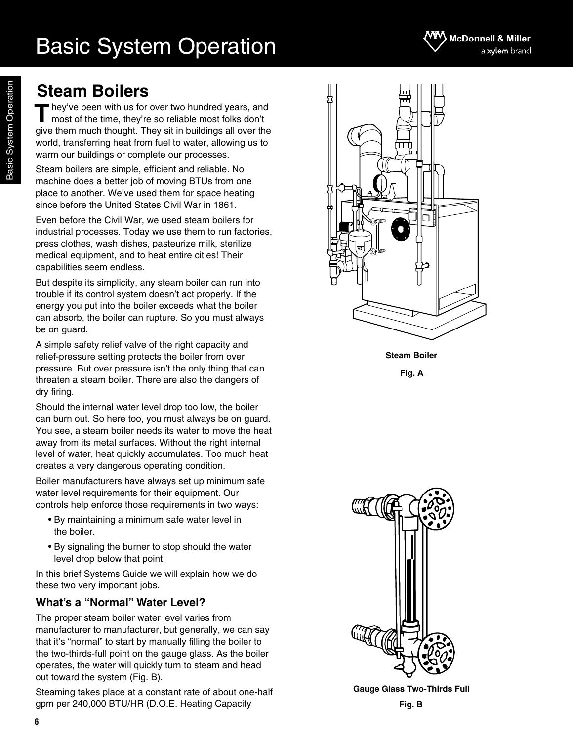## **Steam Boilers**

hey've been with us for over two hundred years, and most of the time, they're so reliable most folks don't give them much thought. They sit in buildings all over the world, transferring heat from fuel to water, allowing us to warm our buildings or complete our processes. **T**

Steam boilers are simple, efficient and reliable. No machine does a better job of moving BTUs from one place to another. We've used them for space heating since before the United States Civil War in 1861.

Even before the Civil War, we used steam boilers for industrial processes. Today we use them to run factories, press clothes, wash dishes, pasteurize milk, sterilize medical equipment, and to heat entire cities! Their capabilities seem endless.

But despite its simplicity, any steam boiler can run into trouble if its control system doesn't act properly. If the energy you put into the boiler exceeds what the boiler can absorb, the boiler can rupture. So you must always be on guard.

A simple safety relief valve of the right capacity and relief-pressure setting protects the boiler from over pressure. But over pressure isn't the only thing that can threaten a steam boiler. There are also the dangers of dry firing.

Should the internal water level drop too low, the boiler can burn out. So here too, you must always be on guard. You see, a steam boiler needs its water to move the heat away from its metal surfaces. Without the right internal level of water, heat quickly accumulates. Too much heat creates a very dangerous operating condition.

Boiler manufacturers have always set up minimum safe water level requirements for their equipment. Our controls help enforce those requirements in two ways:

- By maintaining a minimum safe water level in the boiler.
- By signaling the burner to stop should the water level drop below that point.

In this brief Systems Guide we will explain how we do these two very important jobs.

### **What's a "Normal" Water Level?**

**6**

The proper steam boiler water level varies from manufacturer to manufacturer, but generally, we can say that it's "normal" to start by manually filling the boiler to the two-thirds-full point on the gauge glass. As the boiler operates, the water will quickly turn to steam and head out toward the system (Fig. B).

Steaming takes place at a constant rate of about one-half gpm per 240,000 BTU/HR (D.O.E. Heating Capacity



**Steam Boiler**

**Fig. A**



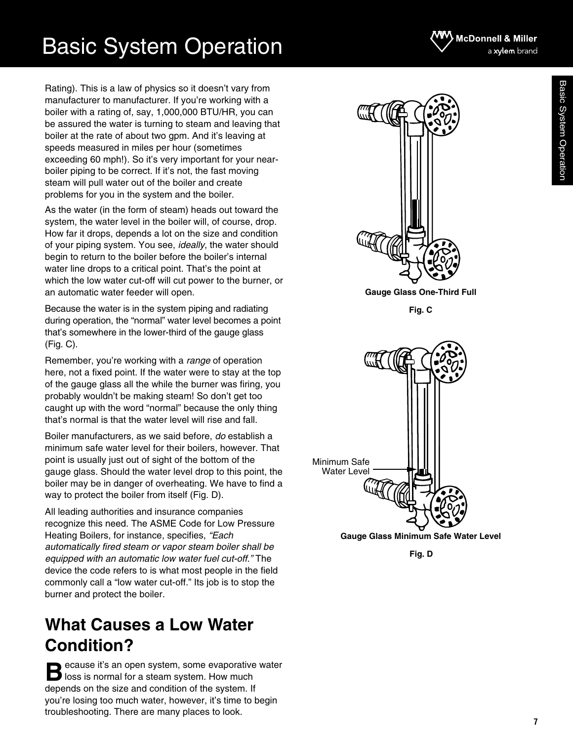Rating). This is a law of physics so it doesn't vary from manufacturer to manufacturer. If you're working with a boiler with a rating of, say, 1,000,000 BTU/HR, you can be assured the water is turning to steam and leaving that boiler at the rate of about two gpm. And it's leaving at speeds measured in miles per hour (sometimes exceeding 60 mph!). So it's very important for your nearboiler piping to be correct. If it's not, the fast moving steam will pull water out of the boiler and create problems for you in the system and the boiler.

As the water (in the form of steam) heads out toward the system, the water level in the boiler will, of course, drop. How far it drops, depends a lot on the size and condition of your piping system. You see, *ideally*, the water should begin to return to the boiler before the boiler's internal water line drops to a critical point. That's the point at which the low water cut-off will cut power to the burner, or an automatic water feeder will open.

Because the water is in the system piping and radiating during operation, the "normal" water level becomes a point that's somewhere in the lower-third of the gauge glass (Fig. C).

Remember, you're working with a *range* of operation here, not a fixed point. If the water were to stay at the top of the gauge glass all the while the burner was firing, you probably wouldn't be making steam! So don't get too caught up with the word "normal" because the only thing that's normal is that the water level will rise and fall.

Boiler manufacturers, as we said before, *do* establish a minimum safe water level for their boilers, however. That point is usually just out of sight of the bottom of the gauge glass. Should the water level drop to this point, the boiler may be in danger of overheating. We have to find a way to protect the boiler from itself (Fig. D).

All leading authorities and insurance companies recognize this need. The ASME Code for Low Pressure Heating Boilers, for instance, specifies, *"Each automatically fired steam or vapor steam boiler shall be equipped with an automatic low water fuel cut-off."* The device the code refers to is what most people in the field commonly call a "low water cut-off." Its job is to stop the burner and protect the boiler.

## **What Causes a Low Water Condition?**

ecause it's an open system, some evaporative water **B** ecause it's an open system, some evaporative<br> **B** loss is normal for a steam system. How much depends on the size and condition of the system. If you're losing too much water, however, it's time to begin troubleshooting. There are many places to look.



**Gauge Glass One-Third Full**

**Fig. C**



**Fig. D**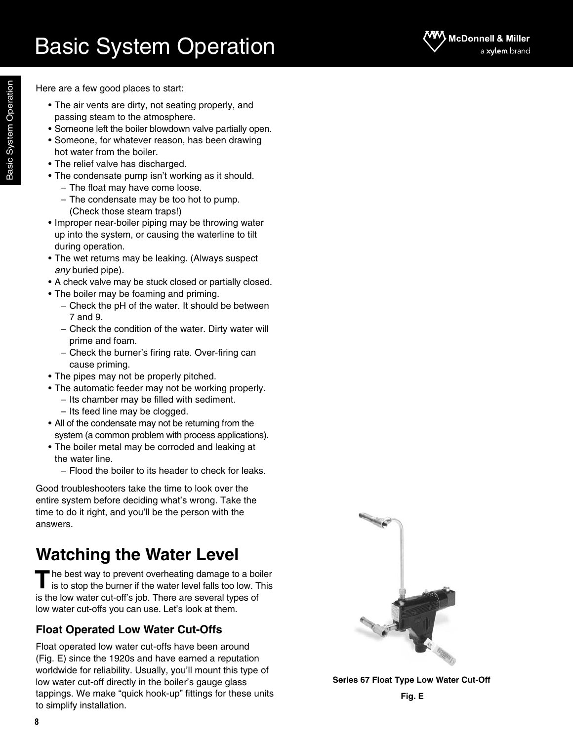

Here are a few good places to start:

- The air vents are dirty, not seating properly, and passing steam to the atmosphere.
- Someone left the boiler blowdown valve partially open.
- Someone, for whatever reason, has been drawing hot water from the boiler.
- The relief valve has discharged.
- The condensate pump isn't working as it should.
	- The float may have come loose.
	- The condensate may be too hot to pump. (Check those steam traps!)
- Improper near-boiler piping may be throwing water up into the system, or causing the waterline to tilt during operation.
- The wet returns may be leaking. (Always suspect *any* buried pipe).
- A check valve may be stuck closed or partially closed.
- The boiler may be foaming and priming.
	- Check the pH of the water. It should be between 7 and 9.
	- Check the condition of the water. Dirty water will prime and foam.
	- Check the burner's firing rate. Over-firing can cause priming.
- The pipes may not be properly pitched.
- The automatic feeder may not be working properly.
	- Its chamber may be filled with sediment.
	- Its feed line may be clogged.
- All of the condensate may not be returning from the system (a common problem with process applications).
- The boiler metal may be corroded and leaking at the water line.
	- Flood the boiler to its header to check for leaks.

Good troubleshooters take the time to look over the entire system before deciding what's wrong. Take the time to do it right, and you'll be the person with the answers.

## **Watching the Water Level**

he best way to prevent overheating damage to a boiler The best way to prevent overheating damage to a boiler is to stop the burner if the water level falls too low. This is the low water cut-off's job. There are several types of low water cut-offs you can use. Let's look at them.

### **Float Operated Low Water Cut-Offs**

Float operated low water cut-offs have been around (Fig. E) since the 1920s and have earned a reputation worldwide for reliability. Usually, you'll mount this type of low water cut-off directly in the boiler's gauge glass tappings. We make "quick hook-up" fittings for these units to simplify installation.



**Series 67 Float Type Low Water Cut-Off**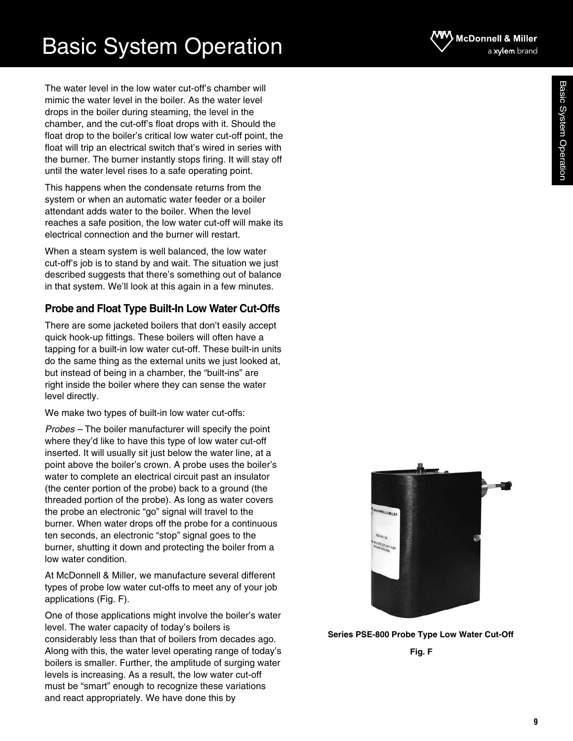The water level in the low water cut-off's chamber will mimic the water level in the boiler. As the water level drops in the boiler during steaming, the level in the chamber, and the cut-off's float drops with it. Should the float drop to the boiler's critical low water cut-off point, the float will trip an electrical switch that's wired in series with the burner. The burner instantly stops firing. It will stay off until the water level rises to a safe operating point.

This happens when the condensate returns from the system or when an automatic water feeder or a boiler attendant adds water to the boiler. When the level reaches a safe position, the low water cut-off will make its electrical connection and the burner will restart.

When a steam system is well balanced, the low water cut-off's job is to stand by and wait. The situation we just described suggests that there's something out of balance in that system. We'll look at this again in a few minutes.

### **Probe and Float Type Built-In Low Water Cut-Offs**

There are some jacketed boilers that don't easily accept quick hook-up fittings. These boilers will often have a tapping for a built-in low water cut-off. These built-in units do the same thing as the external units we just looked at, but instead of being in a chamber, the "built-ins" are right inside the boiler where they can sense the water level directly.

We make two types of built-in low water cut-offs:

*Probes –* The boiler manufacturer will specify the point where they'd like to have this type of low water cut-off inserted. It will usually sit just below the water line, at a point above the boiler's crown. A probe uses the boiler's water to complete an electrical circuit past an insulator (the center portion of the probe) back to a ground (the threaded portion of the probe). As long as water covers the probe an electronic "go" signal will travel to the burner. When water drops off the probe for a continuous ten seconds, an electronic "stop" signal goes to the burner, shutting it down and protecting the boiler from a low water condition.

At McDonnell & Miller, we manufacture several different types of probe low water cut-offs to meet any of your job applications (Fig. F).

One of those applications might involve the boiler's water level. The water capacity of today's boilers is considerably less than that of boilers from decades ago. Along with this, the water level operating range of today's boilers is smaller. Further, the amplitude of surging water levels is increasing. As a result, the low water cut-off must be "smart" enough to recognize these variations and react appropriately. We have done this by



### **Series PSE-800 Probe Type Low Water Cut-Off**

**Fig. F**

**McDonnell & Miller** 

a xylem brand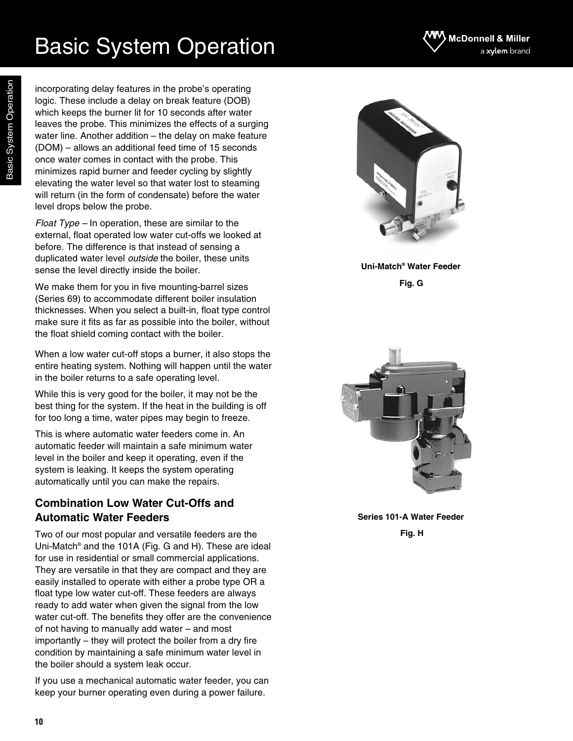incorporating delay features in the probe's operating logic. These include a delay on break feature (DOB) which keeps the burner lit for 10 seconds after water leaves the probe. This minimizes the effects of a surging water line. Another addition – the delay on make feature (DOM) – allows an additional feed time of 15 seconds once water comes in contact with the probe. This minimizes rapid burner and feeder cycling by slightly elevating the water level so that water lost to steaming will return (in the form of condensate) before the water level drops below the probe.

*Float Type –* In operation, these are similar to the external, float operated low water cut-offs we looked at before. The difference is that instead of sensing a duplicated water level *outside* the boiler, these units sense the level directly inside the boiler.

We make them for you in five mounting-barrel sizes (Series 69) to accommodate different boiler insulation thicknesses. When you select a built-in, float type control make sure it fits as far as possible into the boiler, without the float shield coming contact with the boiler.

When a low water cut-off stops a burner, it also stops the entire heating system. Nothing will happen until the water in the boiler returns to a safe operating level.

While this is very good for the boiler, it may not be the best thing for the system. If the heat in the building is off for too long a time, water pipes may begin to freeze.

This is where automatic water feeders come in. An automatic feeder will maintain a safe minimum water level in the boiler and keep it operating, even if the system is leaking. It keeps the system operating automatically until you can make the repairs.

### **Combination Low Water Cut-Offs and Automatic Water Feeders**

Two of our most popular and versatile feeders are the Uni-Match® and the 101A (Fig. G and H). These are ideal for use in residential or small commercial applications. They are versatile in that they are compact and they are easily installed to operate with either a probe type OR a float type low water cut-off. These feeders are always ready to add water when given the signal from the low water cut-off. The benefits they offer are the convenience of not having to manually add water – and most importantly – they will protect the boiler from a dry fire condition by maintaining a safe minimum water level in the boiler should a system leak occur.

If you use a mechanical automatic water feeder, you can keep your burner operating even during a power failure.



**Uni-Match® Water Feeder Fig. G**



**Series 101-A Water Feeder Fig. H**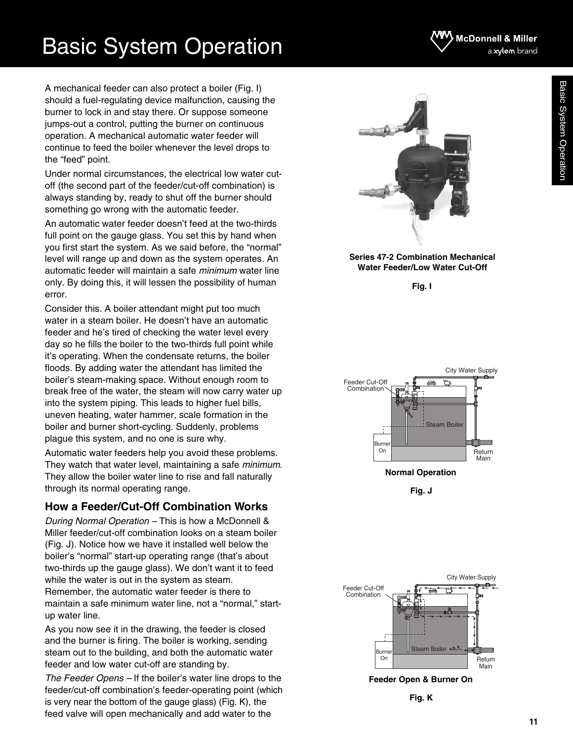A mechanical feeder can also protect a boiler (Fig. I) should a fuel-regulating device malfunction, causing the burner to lock in and stay there. Or suppose someone jumps-out a control, putting the burner on continuous operation. A mechanical automatic water feeder will continue to feed the boiler whenever the level drops to the "feed" point.

Under normal circumstances, the electrical low water cutoff (the second part of the feeder/cut-off combination) is always standing by, ready to shut off the burner should something go wrong with the automatic feeder.

An automatic water feeder doesn't feed at the two-thirds full point on the gauge glass. You set this by hand when you first start the system. As we said before, the "normal" level will range up and down as the system operates. An automatic feeder will maintain a safe *minimum* water line only. By doing this, it will lessen the possibility of human error.

Consider this. A boiler attendant might put too much water in a steam boiler. He doesn't have an automatic feeder and he's tired of checking the water level every day so he fills the boiler to the two-thirds full point while it's operating. When the condensate returns, the boiler floods. By adding water the attendant has limited the boiler's steam-making space. Without enough room to break free of the water, the steam will now carry water up into the system piping. This leads to higher fuel bills, uneven heating, water hammer, scale formation in the boiler and burner short-cycling. Suddenly, problems plague this system, and no one is sure why.

Automatic water feeders help you avoid these problems. They watch that water level, maintaining a safe *minimum*. They allow the boiler water line to rise and fall naturally through its normal operating range.

### **How a Feeder/Cut-Off Combination Works**

*During Normal Operation –* This is how a McDonnell & Miller feeder/cut-off combination looks on a steam boiler (Fig. J). Notice how we have it installed well below the boiler's "normal" start-up operating range (that's about two-thirds up the gauge glass). We don't want it to feed while the water is out in the system as steam. Remember, the automatic water feeder is there to maintain a safe minimum water line, not a "normal," startup water line.

As you now see it in the drawing, the feeder is closed and the burner is firing. The boiler is working, sending steam out to the building, and both the automatic water feeder and low water cut-off are standing by.

*The Feeder Opens –* If the boiler's water line drops to the feeder/cut-off combination's feeder-operating point (which is very near the bottom of the gauge glass) (Fig. K), the feed valve will open mechanically and add water to the



#### **Series 47-2 Combination Mechanical Water Feeder/Low Water Cut-Off**

**Fig. I**



**Fig. J**



**Feeder Open & Burner On**



Basic System Operation

**11**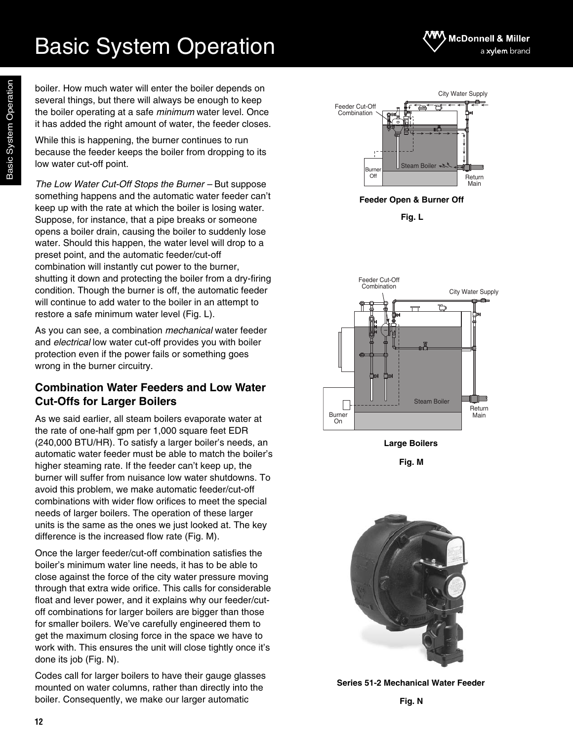boiler. How much water will enter the boiler depends on several things, but there will always be enough to keep the boiler operating at a safe *minimum* water level. Once it has added the right amount of water, the feeder closes.

While this is happening, the burner continues to run because the feeder keeps the boiler from dropping to its low water cut-off point.

*The Low Water Cut-Off Stops the Burner –* But suppose something happens and the automatic water feeder can't keep up with the rate at which the boiler is losing water. Suppose, for instance, that a pipe breaks or someone opens a boiler drain, causing the boiler to suddenly lose water. Should this happen, the water level will drop to a preset point, and the automatic feeder/cut-off combination will instantly cut power to the burner, shutting it down and protecting the boiler from a dry-firing condition. Though the burner is off, the automatic feeder will continue to add water to the boiler in an attempt to restore a safe minimum water level (Fig. L).

As you can see, a combination *mechanical* water feeder and *electrical* low water cut-off provides you with boiler protection even if the power fails or something goes wrong in the burner circuitry.

### **Combination Water Feeders and Low Water Cut-Offs for Larger Boilers**

As we said earlier, all steam boilers evaporate water at the rate of one-half gpm per 1,000 square feet EDR (240,000 BTU/HR). To satisfy a larger boiler's needs, an automatic water feeder must be able to match the boiler's higher steaming rate. If the feeder can't keep up, the burner will suffer from nuisance low water shutdowns. To avoid this problem, we make automatic feeder/cut-off combinations with wider flow orifices to meet the special needs of larger boilers. The operation of these larger units is the same as the ones we just looked at. The key difference is the increased flow rate (Fig. M).

Once the larger feeder/cut-off combination satisfies the boiler's minimum water line needs, it has to be able to close against the force of the city water pressure moving through that extra wide orifice. This calls for considerable float and lever power, and it explains why our feeder/cutoff combinations for larger boilers are bigger than those for smaller boilers. We've carefully engineered them to get the maximum closing force in the space we have to work with. This ensures the unit will close tightly once it's done its job (Fig. N).

Codes call for larger boilers to have their gauge glasses mounted on water columns, rather than directly into the boiler. Consequently, we make our larger automatic





**Feeder Open & Burner Off**

**Fig. L**



**Large Boilers**

**Fig. M**



**Series 51-2 Mechanical Water Feeder**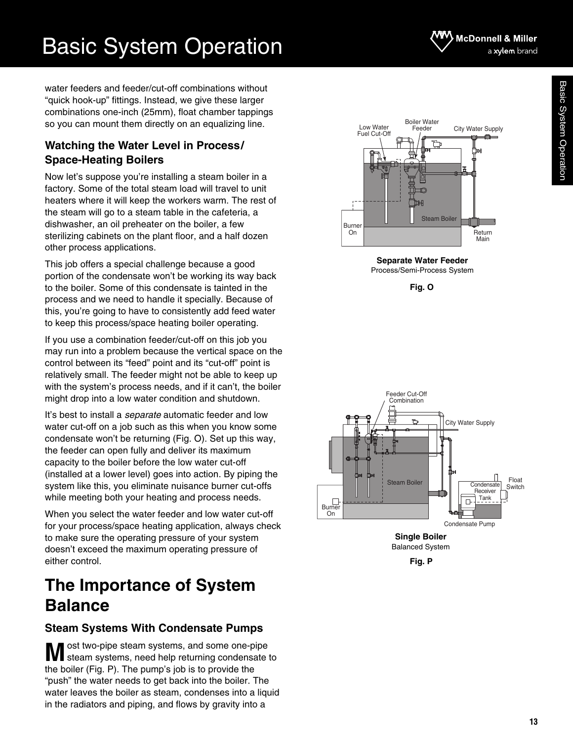water feeders and feeder/cut-off combinations without "quick hook-up" fittings. Instead, we give these larger combinations one-inch (25mm), float chamber tappings so you can mount them directly on an equalizing line.

Basic System Operation

### **Watching the Water Level in Process/ Space-Heating Boilers**

Now let's suppose you're installing a steam boiler in a factory. Some of the total steam load will travel to unit heaters where it will keep the workers warm. The rest of the steam will go to a steam table in the cafeteria, a dishwasher, an oil preheater on the boiler, a few sterilizing cabinets on the plant floor, and a half dozen other process applications.

This job offers a special challenge because a good portion of the condensate won't be working its way back to the boiler. Some of this condensate is tainted in the process and we need to handle it specially. Because of this, you're going to have to consistently add feed water to keep this process/space heating boiler operating.

If you use a combination feeder/cut-off on this job you may run into a problem because the vertical space on the control between its "feed" point and its "cut-off" point is relatively small. The feeder might not be able to keep up with the system's process needs, and if it can't, the boiler might drop into a low water condition and shutdown.

It's best to install a *separate* automatic feeder and low water cut-off on a job such as this when you know some condensate won't be returning (Fig. O). Set up this way, the feeder can open fully and deliver its maximum capacity to the boiler before the low water cut-off (installed at a lower level) goes into action. By piping the system like this, you eliminate nuisance burner cut-offs while meeting both your heating and process needs.

When you select the water feeder and low water cut-off for your process/space heating application, always check to make sure the operating pressure of your system doesn't exceed the maximum operating pressure of either control.

## **The Importance of System Balance**

### **Steam Systems With Condensate Pumps**

ost two-pipe steam systems, and some one-pipe **M** ost two-pipe steam systems, and some one-pipe<br>steam systems, need help returning condensate to the boiler (Fig. P). The pump's job is to provide the "push" the water needs to get back into the boiler. The water leaves the boiler as steam, condenses into a liquid in the radiators and piping, and flows by gravity into a

**McDonnell & Miller** 



**Separate Water Feeder** Process/Semi-Process System





Balanced System

**Fig. P**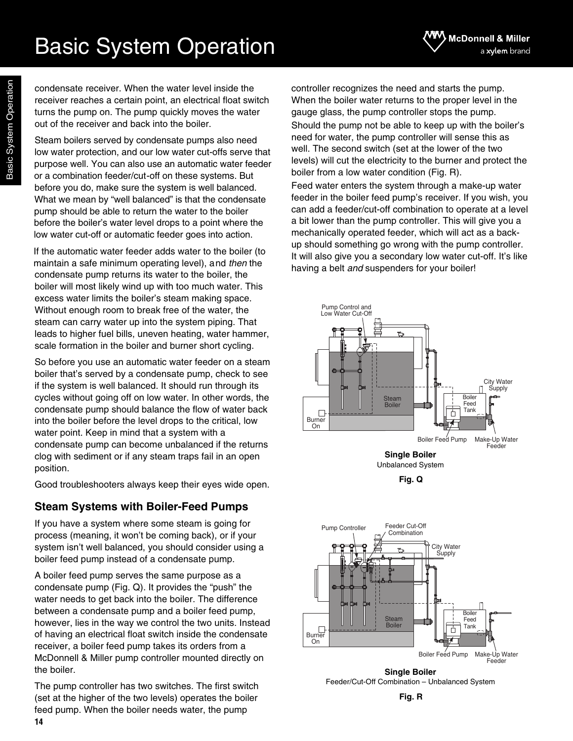condensate receiver. When the water level inside the receiver reaches a certain point, an electrical float switch turns the pump on. The pump quickly moves the water out of the receiver and back into the boiler.

Steam boilers served by condensate pumps also need low water protection, and our low water cut-offs serve that purpose well. You can also use an automatic water feeder or a combination feeder/cut-off on these systems. But before you do, make sure the system is well balanced. What we mean by "well balanced" is that the condensate pump should be able to return the water to the boiler before the boiler's water level drops to a point where the low water cut-off or automatic feeder goes into action.

If the automatic water feeder adds water to the boiler (to maintain a safe minimum operating level), and *then* the condensate pump returns its water to the boiler, the boiler will most likely wind up with too much water. This excess water limits the boiler's steam making space. Without enough room to break free of the water, the steam can carry water up into the system piping. That leads to higher fuel bills, uneven heating, water hammer, scale formation in the boiler and burner short cycling.

So before you use an automatic water feeder on a steam boiler that's served by a condensate pump, check to see if the system is well balanced. It should run through its cycles without going off on low water. In other words, the condensate pump should balance the flow of water back into the boiler before the level drops to the critical, low water point. Keep in mind that a system with a condensate pump can become unbalanced if the returns clog with sediment or if any steam traps fail in an open position.

Good troubleshooters always keep their eyes wide open.

### **Steam Systems with Boiler-Feed Pumps**

If you have a system where some steam is going for process (meaning, it won't be coming back), or if your system isn't well balanced, you should consider using a boiler feed pump instead of a condensate pump.

A boiler feed pump serves the same purpose as a condensate pump (Fig. Q). It provides the "push" the water needs to get back into the boiler. The difference between a condensate pump and a boiler feed pump, however, lies in the way we control the two units. Instead of having an electrical float switch inside the condensate receiver, a boiler feed pump takes its orders from a McDonnell & Miller pump controller mounted directly on the boiler.

**14** The pump controller has two switches. The first switch (set at the higher of the two levels) operates the boiler feed pump. When the boiler needs water, the pump

controller recognizes the need and starts the pump. When the boiler water returns to the proper level in the gauge glass, the pump controller stops the pump. Should the pump not be able to keep up with the boiler's need for water, the pump controller will sense this as well. The second switch (set at the lower of the two levels) will cut the electricity to the burner and protect the boiler from a low water condition (Fig. R).

McDonnell & Miller

a xylem brand

Feed water enters the system through a make-up water feeder in the boiler feed pump's receiver. If you wish, you can add a feeder/cut-off combination to operate at a level a bit lower than the pump controller. This will give you a mechanically operated feeder, which will act as a backup should something go wrong with the pump controller. It will also give you a secondary low water cut-off. It's like having a belt *and* suspenders for your boiler!



**Fig. Q**



**Single Boiler** Feeder/Cut-Off Combination – Unbalanced System

**Fig. R**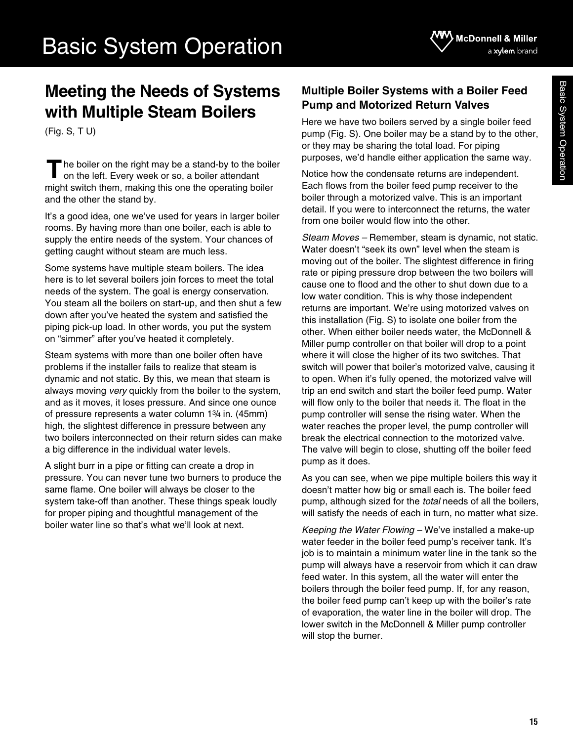## **Meeting the Needs of Systems with Multiple Steam Boilers**

(Fig. S, T U)

he boiler on the right may be a stand-by to the boiler on the left. Every week or so, a boiler attendant might switch them, making this one the operating boiler and the other the stand by. **T**

It's a good idea, one we've used for years in larger boiler rooms. By having more than one boiler, each is able to supply the entire needs of the system. Your chances of getting caught without steam are much less.

Some systems have multiple steam boilers. The idea here is to let several boilers join forces to meet the total needs of the system. The goal is energy conservation. You steam all the boilers on start-up, and then shut a few down after you've heated the system and satisfied the piping pick-up load. In other words, you put the system on "simmer" after you've heated it completely.

Steam systems with more than one boiler often have problems if the installer fails to realize that steam is dynamic and not static. By this, we mean that steam is always moving *very* quickly from the boiler to the system, and as it moves, it loses pressure. And since one ounce of pressure represents a water column 13/4 in. (45mm) high, the slightest difference in pressure between any two boilers interconnected on their return sides can make a big difference in the individual water levels.

A slight burr in a pipe or fitting can create a drop in pressure. You can never tune two burners to produce the same flame. One boiler will always be closer to the system take-off than another. These things speak loudly for proper piping and thoughtful management of the boiler water line so that's what we'll look at next.

### **Multiple Boiler Systems with a Boiler Feed Pump and Motorized Return Valves**

Here we have two boilers served by a single boiler feed pump (Fig. S). One boiler may be a stand by to the other, or they may be sharing the total load. For piping purposes, we'd handle either application the same way.

Notice how the condensate returns are independent. Each flows from the boiler feed pump receiver to the boiler through a motorized valve. This is an important detail. If you were to interconnect the returns, the water from one boiler would flow into the other.

*Steam Moves –* Remember, steam is dynamic, not static. Water doesn't "seek its own" level when the steam is moving out of the boiler. The slightest difference in firing rate or piping pressure drop between the two boilers will cause one to flood and the other to shut down due to a low water condition. This is why those independent returns are important. We're using motorized valves on this installation (Fig. S) to isolate one boiler from the other. When either boiler needs water, the McDonnell & Miller pump controller on that boiler will drop to a point where it will close the higher of its two switches. That switch will power that boiler's motorized valve, causing it to open. When it's fully opened, the motorized valve will trip an end switch and start the boiler feed pump. Water will flow only to the boiler that needs it. The float in the pump controller will sense the rising water. When the water reaches the proper level, the pump controller will break the electrical connection to the motorized valve. The valve will begin to close, shutting off the boiler feed pump as it does.

As you can see, when we pipe multiple boilers this way it doesn't matter how big or small each is. The boiler feed pump, although sized for the *total* needs of all the boilers, will satisfy the needs of each in turn, no matter what size.

*Keeping the Water Flowing –* We've installed a make-up water feeder in the boiler feed pump's receiver tank. It's job is to maintain a minimum water line in the tank so the pump will always have a reservoir from which it can draw feed water. In this system, all the water will enter the boilers through the boiler feed pump. If, for any reason, the boiler feed pump can't keep up with the boiler's rate of evaporation, the water line in the boiler will drop. The lower switch in the McDonnell & Miller pump controller will stop the burner.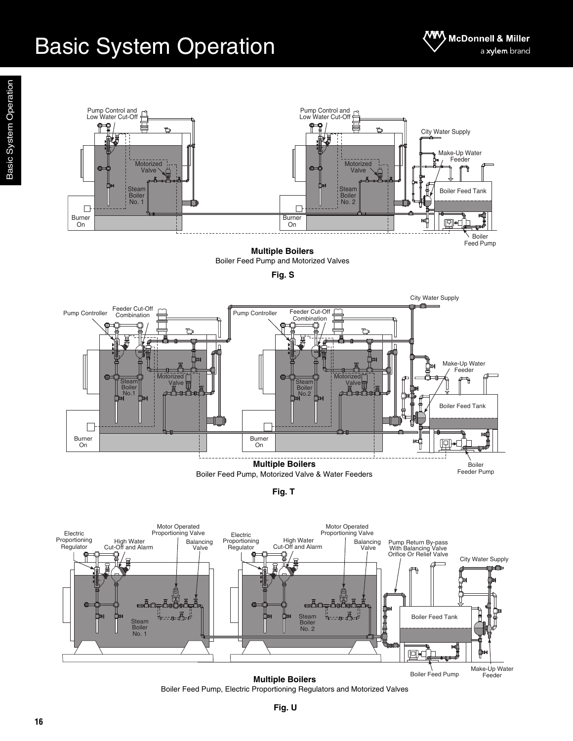

**Multiple Boilers** Boiler Feed Pump and Motorized Valves





**Fig. T**



**Multiple Boilers** Boiler Feed Pump, Electric Proportioning Regulators and Motorized Valves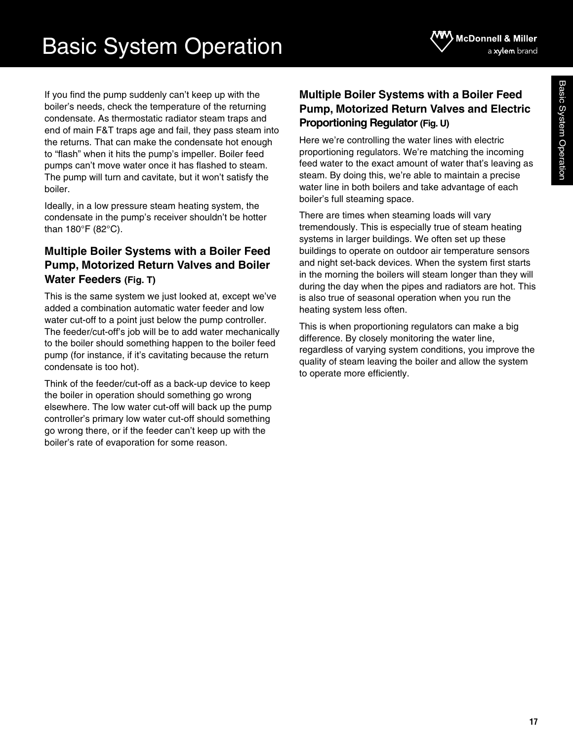If you find the pump suddenly can't keep up with the boiler's needs, check the temperature of the returning condensate. As thermostatic radiator steam traps and end of main F&T traps age and fail, they pass steam into the returns. That can make the condensate hot enough to "flash" when it hits the pump's impeller. Boiler feed pumps can't move water once it has flashed to steam. The pump will turn and cavitate, but it won't satisfy the boiler.

Ideally, in a low pressure steam heating system, the condensate in the pump's receiver shouldn't be hotter than 180°F (82°C).

### **Multiple Boiler Systems with a Boiler Feed Pump, Motorized Return Valves and Boiler Water Feeders (Fig. T)**

This is the same system we just looked at, except we've added a combination automatic water feeder and low water cut-off to a point just below the pump controller. The feeder/cut-off's job will be to add water mechanically to the boiler should something happen to the boiler feed pump (for instance, if it's cavitating because the return condensate is too hot).

Think of the feeder/cut-off as a back-up device to keep the boiler in operation should something go wrong elsewhere. The low water cut-off will back up the pump controller's primary low water cut-off should something go wrong there, or if the feeder can't keep up with the boiler's rate of evaporation for some reason.

### **Multiple Boiler Systems with a Boiler Feed Pump, Motorized Return Valves and Electric Proportioning Regulator (Fig. U)**

Here we're controlling the water lines with electric proportioning regulators. We're matching the incoming feed water to the exact amount of water that's leaving as steam. By doing this, we're able to maintain a precise water line in both boilers and take advantage of each boiler's full steaming space.

There are times when steaming loads will vary tremendously. This is especially true of steam heating systems in larger buildings. We often set up these buildings to operate on outdoor air temperature sensors and night set-back devices. When the system first starts in the morning the boilers will steam longer than they will during the day when the pipes and radiators are hot. This is also true of seasonal operation when you run the heating system less often.

This is when proportioning regulators can make a big difference. By closely monitoring the water line, regardless of varying system conditions, you improve the quality of steam leaving the boiler and allow the system to operate more efficiently.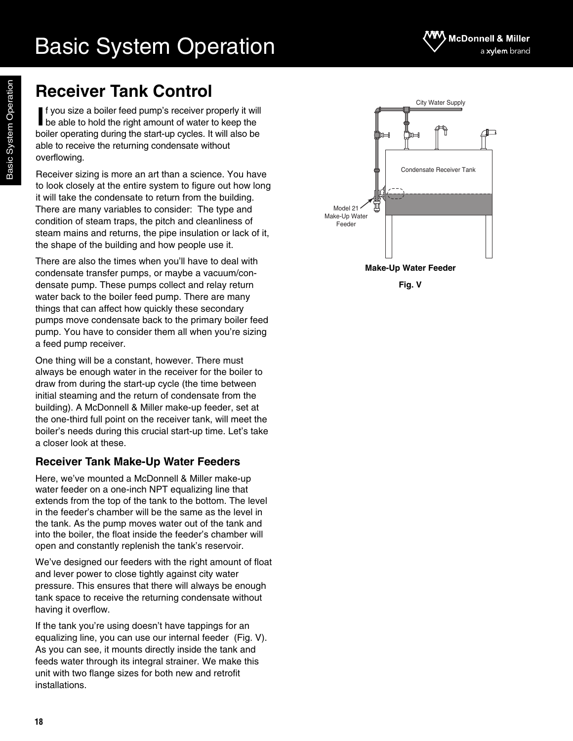

 $\Box$ 

City Water Supply

ኸ

## **Receiver Tank Control**

Basic System Operation

Basic System Operation

f you size a boiler feed pump's receiver properly it will **I** f you size a boiler feed pump's receiver properly it will be able to hold the right amount of water to keep the boiler operating during the start-up cycles. It will also be able to receive the returning condensate without overflowing.

Receiver sizing is more an art than a science. You have to look closely at the entire system to figure out how long it will take the condensate to return from the building. There are many variables to consider: The type and condition of steam traps, the pitch and cleanliness of steam mains and returns, the pipe insulation or lack of it, the shape of the building and how people use it.

There are also the times when you'll have to deal with condensate transfer pumps, or maybe a vacuum/condensate pump. These pumps collect and relay return water back to the boiler feed pump. There are many things that can affect how quickly these secondary pumps move condensate back to the primary boiler feed pump. You have to consider them all when you're sizing a feed pump receiver.

One thing will be a constant, however. There must always be enough water in the receiver for the boiler to draw from during the start-up cycle (the time between initial steaming and the return of condensate from the building). A McDonnell & Miller make-up feeder, set at the one-third full point on the receiver tank, will meet the boiler's needs during this crucial start-up time. Let's take a closer look at these.

### **Receiver Tank Make-Up Water Feeders**

Here, we've mounted a McDonnell & Miller make-up water feeder on a one-inch NPT equalizing line that extends from the top of the tank to the bottom. The level in the feeder's chamber will be the same as the level in the tank. As the pump moves water out of the tank and into the boiler, the float inside the feeder's chamber will open and constantly replenish the tank's reservoir.

We've designed our feeders with the right amount of float and lever power to close tightly against city water pressure. This ensures that there will always be enough tank space to receive the returning condensate without having it overflow.

If the tank you're using doesn't have tappings for an equalizing line, you can use our internal feeder (Fig. V). As you can see, it mounts directly inside the tank and feeds water through its integral strainer. We make this unit with two flange sizes for both new and retrofit installations.



**Make-Up Water Feeder**

**Fig. V**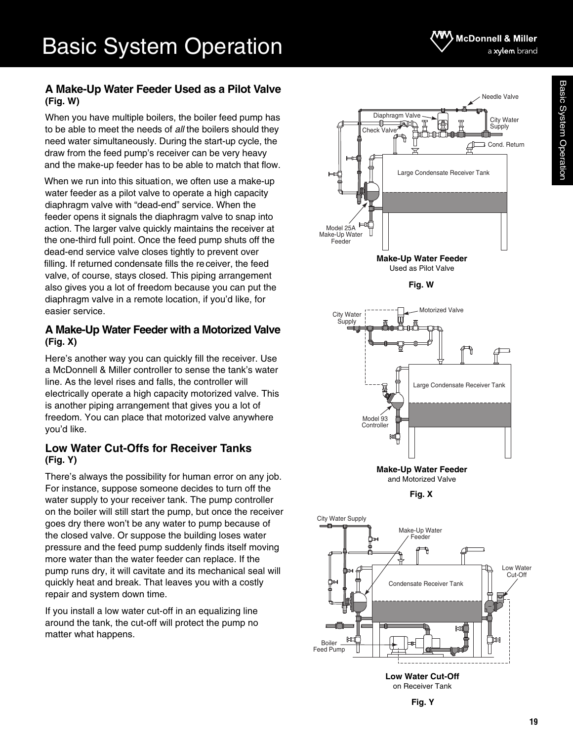### McDonnell & Miller a xylem brand

### **A Make-Up Water Feeder Used as a Pilot Valve (Fig. W)**

When you have multiple boilers, the boiler feed pump has to be able to meet the needs of *all* the boilers should they need water simultaneously. During the start-up cycle, the draw from the feed pump's receiver can be very heavy and the make-up feeder has to be able to match that flow.

When we run into this situation, we often use a make-up water feeder as a pilot valve to operate a high capacity diaphragm valve with "dead-end" service. When the feeder opens it signals the diaphragm valve to snap into action. The larger valve quickly maintains the receiver at the one-third full point. Once the feed pump shuts off the dead-end service valve closes tightly to prevent over filling. If returned condensate fills the receiver, the feed valve, of course, stays closed. This piping arrangement also gives you a lot of freedom because you can put the diaphragm valve in a remote location, if you'd like, for easier service.

### **A Make-Up Water Feeder with a Motorized Valve (Fig. X)**

Here's another way you can quickly fill the receiver. Use a McDonnell & Miller controller to sense the tank's water line. As the level rises and falls, the controller will electrically operate a high capacity motorized valve. This is another piping arrangement that gives you a lot of freedom. You can place that motorized valve anywhere you'd like.

### **Low Water Cut-Offs for Receiver Tanks (Fig. Y)**

There's always the possibility for human error on any job. For instance, suppose someone decides to turn off the water supply to your receiver tank. The pump controller on the boiler will still start the pump, but once the receiver goes dry there won't be any water to pump because of the closed valve. Or suppose the building loses water pressure and the feed pump suddenly finds itself moving more water than the water feeder can replace. If the pump runs dry, it will cavitate and its mechanical seal will quickly heat and break. That leaves you with a costly repair and system down time.

If you install a low water cut-off in an equalizing line around the tank, the cut-off will protect the pump no matter what happens.



**Fig. W**



and Motorized Valve

**Fig. X**



on Receiver Tank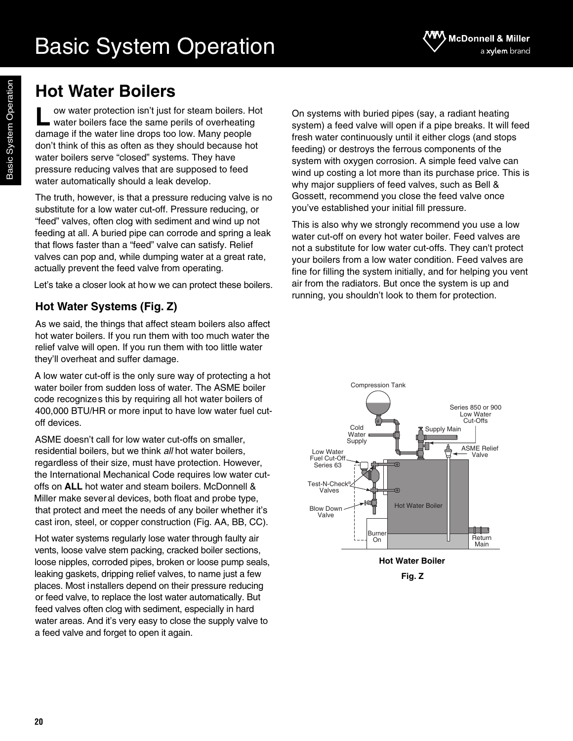## **Hot Water Boilers**

ow water protection isn't just for steam boilers. Hot water boilers face the same perils of overheating damage if the water line drops too low. Many people don't think of this as often as they should because hot water boilers serve "closed" systems. They have pressure reducing valves that are supposed to feed water automatically should a leak develop. **L**

The truth, however, is that a pressure reducing valve is no substitute for a low water cut-off. Pressure reducing, or "feed" valves, often clog with sediment and wind up not feeding at all. A buried pipe can corrode and spring a leak that flows faster than a "feed" valve can satisfy. Relief valves can pop and, while dumping water at a great rate, actually prevent the feed valve from operating.

Let's take a closer look at how we can protect these boilers.

### **Hot Water Systems (Fig. Z)**

As we said, the things that affect steam boilers also affect hot water boilers. If you run them with too much water the relief valve will open. If you run them with too little water they'll overheat and suffer damage.

A low water cut-off is the only sure way of protecting a hot water boiler from sudden loss of water. The ASME boiler code recognizes this by requiring all hot water boilers of 400,000 BTU/HR or more input to have low water fuel cutoff devices.

ASME doesn't call for low water cut-offs on smaller, residential boilers, but we think *all* hot water boilers, regardless of their size, must have protection. However, the International Mechanical Code requires low water cutoffs on **ALL** hot water and steam boilers. McDonnell & Miller make several devices, both float and probe type, that protect and meet the needs of any boiler whether it's cast iron, steel, or copper construction (Fig. AA, BB, CC).

Hot water systems regularly lose water through faulty air vents, loose valve stem packing, cracked boiler sections, loose nipples, corroded pipes, broken or loose pump seals, leaking gaskets, dripping relief valves, to name just a few places. Most installers depend on their pressure reducing or feed valve, to replace the lost water automatically. But feed valves often clog with sediment, especially in hard water areas. And it's very easy to close the supply valve to a feed valve and forget to open it again.

On systems with buried pipes (say, a radiant heating system) a feed valve will open if a pipe breaks. It will feed fresh water continuously until it either clogs (and stops feeding) or destroys the ferrous components of the system with oxygen corrosion. A simple feed valve can wind up costing a lot more than its purchase price. This is why major suppliers of feed valves, such as Bell & Gossett, recommend you close the feed valve once you've established your initial fill pressure.

This is also why we strongly recommend you use a low water cut-off on every hot water boiler. Feed valves are not a substitute for low water cut-offs. They can't protect your boilers from a low water condition. Feed valves are fine for filling the system initially, and for helping you vent air from the radiators. But once the system is up and running, you shouldn't look to them for protection.



**Fig. Z**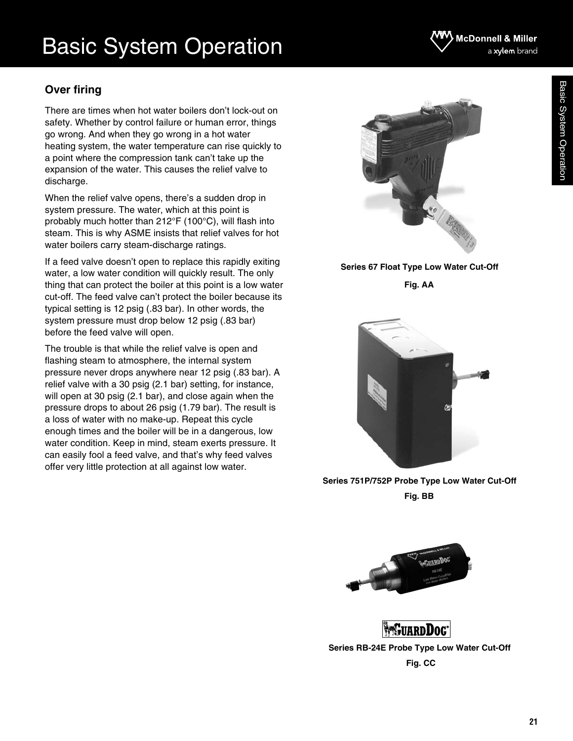### **Over firing**

There are times when hot water boilers don't lock-out on safety. Whether by control failure or human error, things go wrong. And when they go wrong in a hot water heating system, the water temperature can rise quickly to a point where the compression tank can't take up the expansion of the water. This causes the relief valve to discharge.

When the relief valve opens, there's a sudden drop in system pressure. The water, which at this point is probably much hotter than 212°F (100°C), will flash into steam. This is why ASME insists that relief valves for hot water boilers carry steam-discharge ratings.

If a feed valve doesn't open to replace this rapidly exiting water, a low water condition will quickly result. The only thing that can protect the boiler at this point is a low water cut-off. The feed valve can't protect the boiler because its typical setting is 12 psig (.83 bar). In other words, the system pressure must drop below 12 psig (.83 bar) before the feed valve will open.

The trouble is that while the relief valve is open and flashing steam to atmosphere, the internal system pressure never drops anywhere near 12 psig (.83 bar). A relief valve with a 30 psig (2.1 bar) setting, for instance, will open at 30 psig (2.1 bar), and close again when the pressure drops to about 26 psig (1.79 bar). The result is a loss of water with no make-up. Repeat this cycle enough times and the boiler will be in a dangerous, low water condition. Keep in mind, steam exerts pressure. It can easily fool a feed valve, and that's why feed valves offer very little protection at all against low water.

**Series 67 Float Type Low Water Cut-Off**

**Fig. AA**

**Series 751P/752P Probe Type Low Water Cut-Off Fig. BB**

**EXECUTARDDOC Series RB-24E Probe Type Low Water Cut-Off Fig. CC**





### **McDonnell & Miller** a xylem brand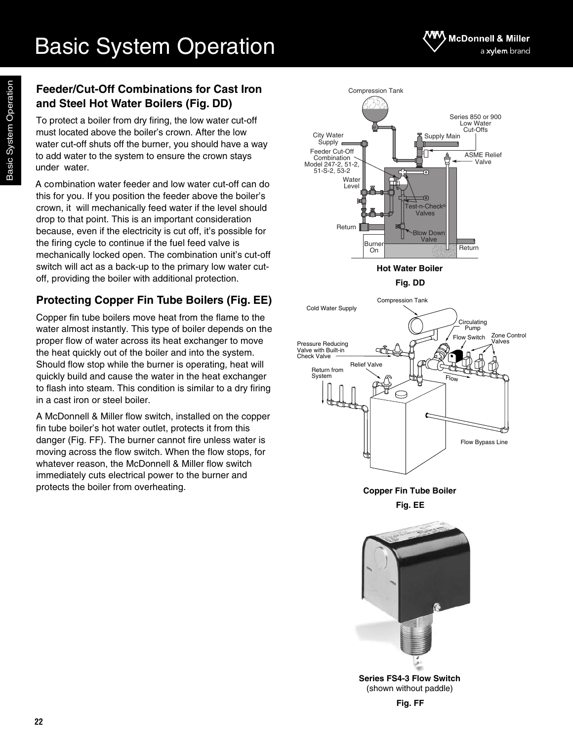### **Feeder/Cut-Off Combinations for Cast Iron and Steel Hot Water Boilers (Fig. DD)**

To protect a boiler from dry firing, the low water cut-off must located above the boiler's crown. After the low water cut-off shuts off the burner, you should have a way to add water to the system to ensure the crown stays under water.

A combination water feeder and low water cut-off can do this for you. If you position the feeder above the boiler's crown, it will mechanically feed water if the level should drop to that point. This is an important consideration because, even if the electricity is cut off, it's possible for the firing cycle to continue if the fuel feed valve is mechanically locked open. The combination unit's cut-off switch will act as a back-up to the primary low water cutoff, providing the boiler with additional protection.

### **Protecting Copper Fin Tube Boilers (Fig. EE)**

Copper fin tube boilers move heat from the flame to the water almost instantly. This type of boiler depends on the proper flow of water across its heat exchanger to move the heat quickly out of the boiler and into the system. Should flow stop while the burner is operating, heat will quickly build and cause the water in the heat exchanger to flash into steam. This condition is similar to a dry firing in a cast iron or steel boiler.

A McDonnell & Miller flow switch, installed on the copper fin tube boiler's hot water outlet, protects it from this danger (Fig. FF). The burner cannot fire unless water is moving across the flow switch. When the flow stops, for whatever reason, the McDonnell & Miller flow switch immediately cuts electrical power to the burner and protects the boiler from overheating.



**Fig. EE**



**Series FS4-3 Flow Switch** (shown without paddle)